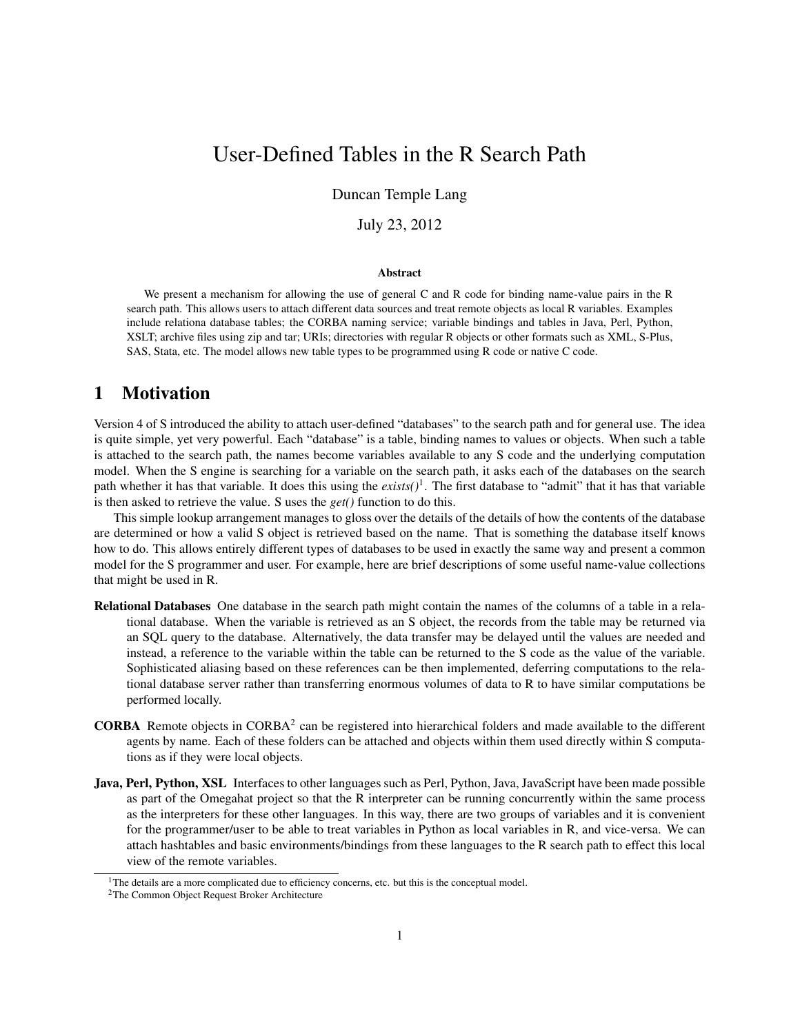# User-Defined Tables in the R Search Path

Duncan Temple Lang

July 23, 2012

#### Abstract

We present a mechanism for allowing the use of general C and R code for binding name-value pairs in the R search path. This allows users to attach different data sources and treat remote objects as local R variables. Examples include relationa database tables; the CORBA naming service; variable bindings and tables in Java, Perl, Python, XSLT; archive files using zip and tar; URIs; directories with regular R objects or other formats such as XML, S-Plus, SAS, Stata, etc. The model allows new table types to be programmed using R code or native C code.

# 1 Motivation

Version 4 of S introduced the ability to attach user-defined "databases" to the search path and for general use. The idea is quite simple, yet very powerful. Each "database" is a table, binding names to values or objects. When such a table is attached to the search path, the names become variables available to any S code and the underlying computation model. When the S engine is searching for a variable on the search path, it asks each of the databases on the search path whether it has that variable. It does this using the *exists()*<sup>1</sup> . The first database to "admit" that it has that variable is then asked to retrieve the value. S uses the *get()* function to do this.

This simple lookup arrangement manages to gloss over the details of the details of how the contents of the database are determined or how a valid S object is retrieved based on the name. That is something the database itself knows how to do. This allows entirely different types of databases to be used in exactly the same way and present a common model for the S programmer and user. For example, here are brief descriptions of some useful name-value collections that might be used in R.

- Relational Databases One database in the search path might contain the names of the columns of a table in a relational database. When the variable is retrieved as an S object, the records from the table may be returned via an SQL query to the database. Alternatively, the data transfer may be delayed until the values are needed and instead, a reference to the variable within the table can be returned to the S code as the value of the variable. Sophisticated aliasing based on these references can be then implemented, deferring computations to the relational database server rather than transferring enormous volumes of data to R to have similar computations be performed locally.
- **CORBA** Remote objects in CORBA<sup>2</sup> can be registered into hierarchical folders and made available to the different agents by name. Each of these folders can be attached and objects within them used directly within S computations as if they were local objects.
- Java, Perl, Python, XSL Interfaces to other languages such as Perl, Python, Java, JavaScript have been made possible as part of the Omegahat project so that the R interpreter can be running concurrently within the same process as the interpreters for these other languages. In this way, there are two groups of variables and it is convenient for the programmer/user to be able to treat variables in Python as local variables in R, and vice-versa. We can attach hashtables and basic environments/bindings from these languages to the R search path to effect this local view of the remote variables.

 $1$ The details are a more complicated due to efficiency concerns, etc. but this is the conceptual model.

<sup>2</sup>The Common Object Request Broker Architecture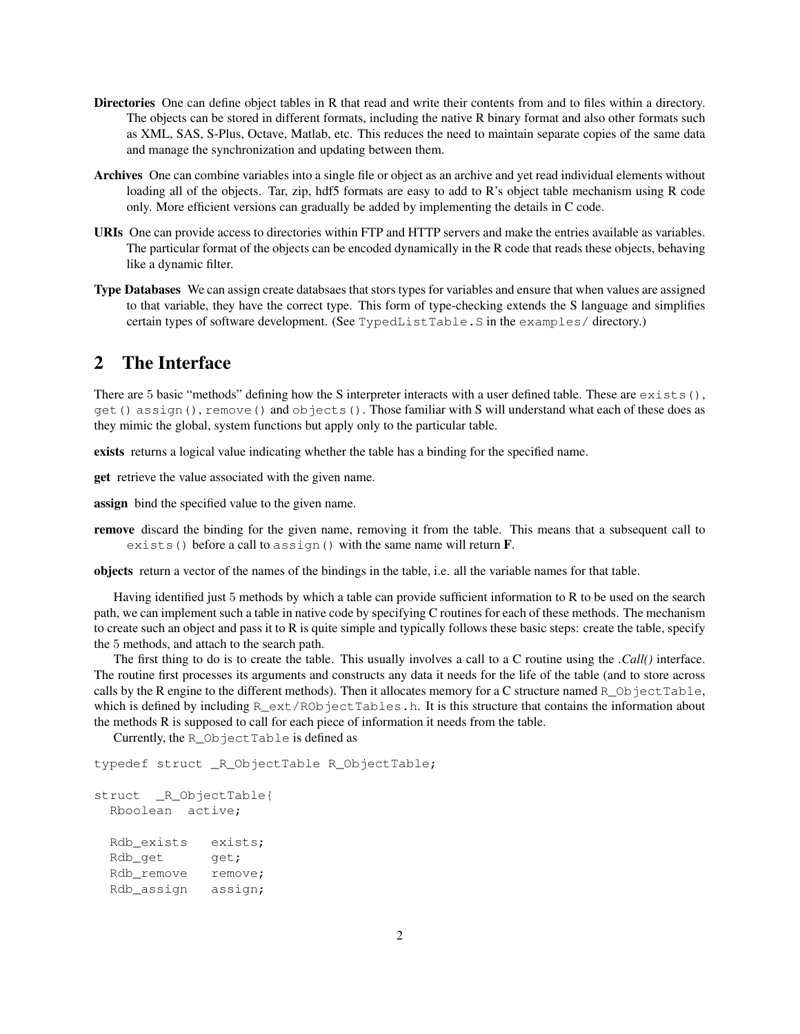- Directories One can define object tables in R that read and write their contents from and to files within a directory. The objects can be stored in different formats, including the native R binary format and also other formats such as XML, SAS, S-Plus, Octave, Matlab, etc. This reduces the need to maintain separate copies of the same data and manage the synchronization and updating between them.
- Archives One can combine variables into a single file or object as an archive and yet read individual elements without loading all of the objects. Tar, zip, hdf5 formats are easy to add to R's object table mechanism using R code only. More efficient versions can gradually be added by implementing the details in C code.
- URIs One can provide access to directories within FTP and HTTP servers and make the entries available as variables. The particular format of the objects can be encoded dynamically in the R code that reads these objects, behaving like a dynamic filter.
- Type Databases We can assign create databsaes that stors types for variables and ensure that when values are assigned to that variable, they have the correct type. This form of type-checking extends the S language and simplifies certain types of software development. (See TypedListTable.S in the examples/ directory.)

### 2 The Interface

There are 5 basic "methods" defining how the S interpreter interacts with a user defined table. These are  $exists()$ , get() assign(), remove() and objects(). Those familiar with S will understand what each of these does as they mimic the global, system functions but apply only to the particular table.

exists returns a logical value indicating whether the table has a binding for the specified name.

get retrieve the value associated with the given name.

assign bind the specified value to the given name.

remove discard the binding for the given name, removing it from the table. This means that a subsequent call to exists() before a call to assign() with the same name will return  $\bf{F}$ .

objects return a vector of the names of the bindings in the table, i.e. all the variable names for that table.

Having identified just 5 methods by which a table can provide sufficient information to R to be used on the search path, we can implement such a table in native code by specifying C routines for each of these methods. The mechanism to create such an object and pass it to R is quite simple and typically follows these basic steps: create the table, specify the 5 methods, and attach to the search path.

The first thing to do is to create the table. This usually involves a call to a C routine using the *.Call()* interface. The routine first processes its arguments and constructs any data it needs for the life of the table (and to store across calls by the R engine to the different methods). Then it allocates memory for a C structure named  $R_Q$  object Table, which is defined by including  $R$  ext/RObjectTables.h. It is this structure that contains the information about the methods R is supposed to call for each piece of information it needs from the table.

Currently, the R\_ObjectTable is defined as

typedef struct \_R\_ObjectTable R\_ObjectTable;

```
struct _R_ObjectTable{
 Rboolean active;
 Rdb exists exists;
 Rdb qet qet;
 Rdb_remove remove;
 Rdb_assign assign;
```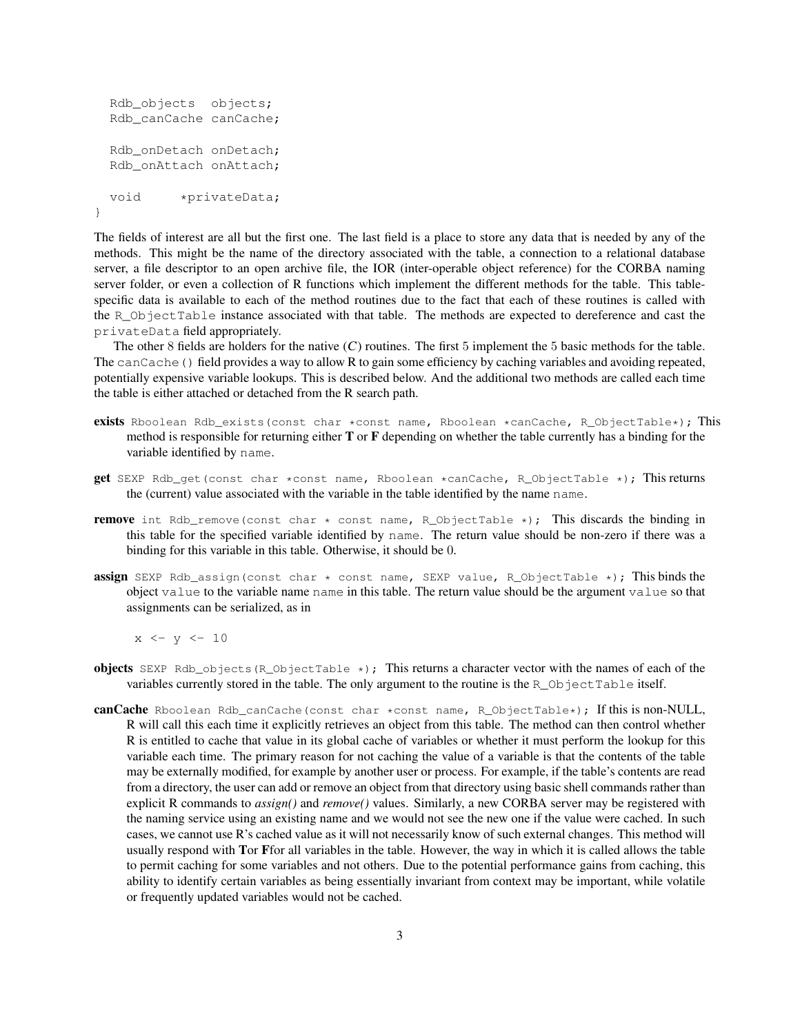```
Rdb_objects objects;
 Rdb_canCache canCache;
 Rdb_onDetach onDetach;
 Rdb onAttach onAttach;
 void *privateData;
}
```
The fields of interest are all but the first one. The last field is a place to store any data that is needed by any of the methods. This might be the name of the directory associated with the table, a connection to a relational database server, a file descriptor to an open archive file, the IOR (inter-operable object reference) for the CORBA naming server folder, or even a collection of R functions which implement the different methods for the table. This tablespecific data is available to each of the method routines due to the fact that each of these routines is called with the R\_ObjectTable instance associated with that table. The methods are expected to dereference and cast the privateData field appropriately.

The other 8 fields are holders for the native  $(C)$  routines. The first 5 implement the 5 basic methods for the table. The canCache() field provides a way to allow R to gain some efficiency by caching variables and avoiding repeated, potentially expensive variable lookups. This is described below. And the additional two methods are called each time the table is either attached or detached from the R search path.

- exists Rboolean Rdb\_exists(const char \*const name, Rboolean \*canCache, R\_ObjectTable\*); This method is responsible for returning either T or F depending on whether the table currently has a binding for the variable identified by name.
- **get** SEXP Rdb\_qet(const char \*const name, Rboolean \*canCache, R\_ObjectTable \*); This returns the (current) value associated with the variable in the table identified by the name name.
- **remove** int Rdb\_remove(const char  $\star$  const name, R\_ObjectTable  $\star$ ); This discards the binding in this table for the specified variable identified by name. The return value should be non-zero if there was a binding for this variable in this table. Otherwise, it should be 0.
- **assign** SEXP Rdb\_assign(const char  $*$  const name, SEXP value, R\_ObjectTable  $*$ ); This binds the object value to the variable name name in this table. The return value should be the argument value so that assignments can be serialized, as in

 $x \leftarrow y \leftarrow 10$ 

- **objects** SEXP Rdb\_objects(R\_ObjectTable  $\star$ ); This returns a character vector with the names of each of the variables currently stored in the table. The only argument to the routine is the R\_ObjectTable itself.
- canCache Rboolean Rdb\_canCache(const char \*const name, R\_ObjectTable\*); If this is non-NULL, R will call this each time it explicitly retrieves an object from this table. The method can then control whether R is entitled to cache that value in its global cache of variables or whether it must perform the lookup for this variable each time. The primary reason for not caching the value of a variable is that the contents of the table may be externally modified, for example by another user or process. For example, if the table's contents are read from a directory, the user can add or remove an object from that directory using basic shell commands rather than explicit R commands to *assign()* and *remove()* values. Similarly, a new CORBA server may be registered with the naming service using an existing name and we would not see the new one if the value were cached. In such cases, we cannot use R's cached value as it will not necessarily know of such external changes. This method will usually respond with Tor Ffor all variables in the table. However, the way in which it is called allows the table to permit caching for some variables and not others. Due to the potential performance gains from caching, this ability to identify certain variables as being essentially invariant from context may be important, while volatile or frequently updated variables would not be cached.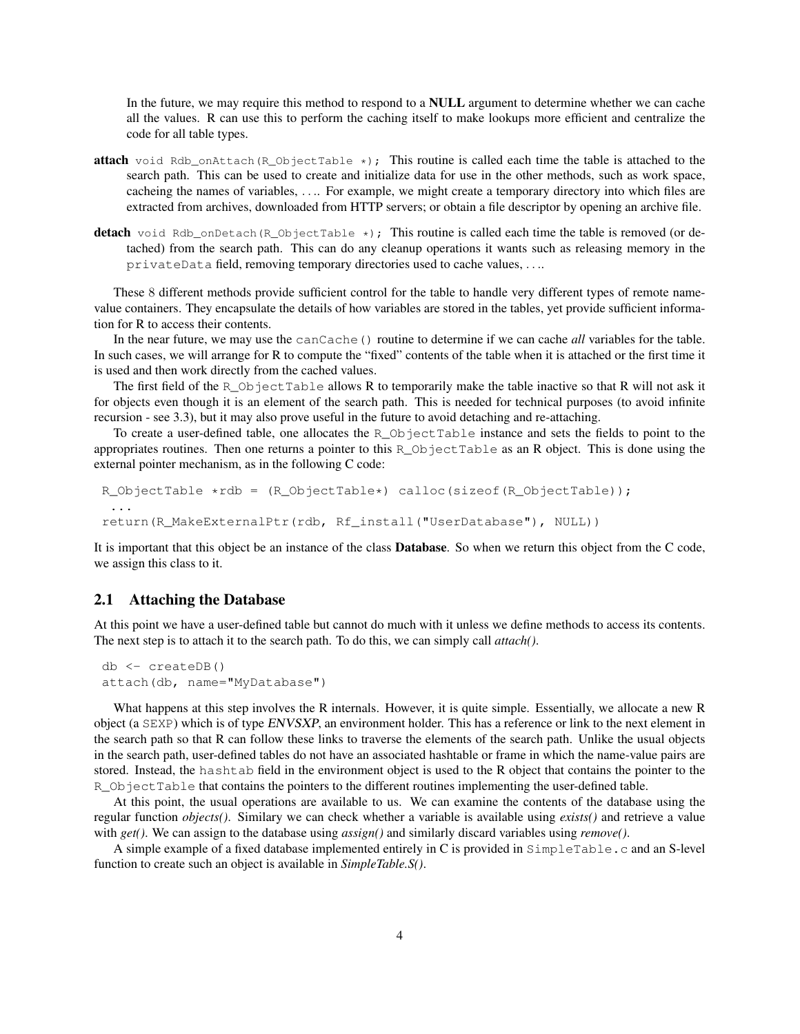In the future, we may require this method to respond to a NULL argument to determine whether we can cache all the values. R can use this to perform the caching itself to make lookups more efficient and centralize the code for all table types.

- **attach** void Rdb\_onAttach(R\_ObjectTable  $\star$ ); This routine is called each time the table is attached to the search path. This can be used to create and initialize data for use in the other methods, such as work space, cacheing the names of variables, . . .. For example, we might create a temporary directory into which files are extracted from archives, downloaded from HTTP servers; or obtain a file descriptor by opening an archive file.
- detach void Rdb\_onDetach(R\_ObjectTable  $\star$ ); This routine is called each time the table is removed (or detached) from the search path. This can do any cleanup operations it wants such as releasing memory in the privateData field, removing temporary directories used to cache values, . . ..

These 8 different methods provide sufficient control for the table to handle very different types of remote namevalue containers. They encapsulate the details of how variables are stored in the tables, yet provide sufficient information for R to access their contents.

In the near future, we may use the canCache() routine to determine if we can cache *all* variables for the table. In such cases, we will arrange for R to compute the "fixed" contents of the table when it is attached or the first time it is used and then work directly from the cached values.

The first field of the R\_ObjectTable allows R to temporarily make the table inactive so that R will not ask it for objects even though it is an element of the search path. This is needed for technical purposes (to avoid infinite recursion - see 3.3), but it may also prove useful in the future to avoid detaching and re-attaching.

To create a user-defined table, one allocates the R\_ObjectTable instance and sets the fields to point to the appropriates routines. Then one returns a pointer to this R\_ObjectTable as an R object. This is done using the external pointer mechanism, as in the following C code:

```
R_ObjectTable *rdb = (R_ObjectTable*) calloc(sizeof(R_ObjectTable));
 ...
return(R_MakeExternalPtr(rdb, Rf_install("UserDatabase"), NULL))
```
It is important that this object be an instance of the class Database. So when we return this object from the C code, we assign this class to it.

### 2.1 Attaching the Database

At this point we have a user-defined table but cannot do much with it unless we define methods to access its contents. The next step is to attach it to the search path. To do this, we can simply call *attach()*.

```
db <- createDB()
attach(db, name="MyDatabase")
```
What happens at this step involves the R internals. However, it is quite simple. Essentially, we allocate a new R object (a SEXP) which is of type ENVSXP, an environment holder. This has a reference or link to the next element in the search path so that R can follow these links to traverse the elements of the search path. Unlike the usual objects in the search path, user-defined tables do not have an associated hashtable or frame in which the name-value pairs are stored. Instead, the hashtab field in the environment object is used to the R object that contains the pointer to the R\_ObjectTable that contains the pointers to the different routines implementing the user-defined table.

At this point, the usual operations are available to us. We can examine the contents of the database using the regular function *objects()*. Similary we can check whether a variable is available using *exists()* and retrieve a value with *get()*. We can assign to the database using *assign()* and similarly discard variables using *remove()*.

A simple example of a fixed database implemented entirely in C is provided in SimpleTable.c and an S-level function to create such an object is available in *SimpleTable.S()*.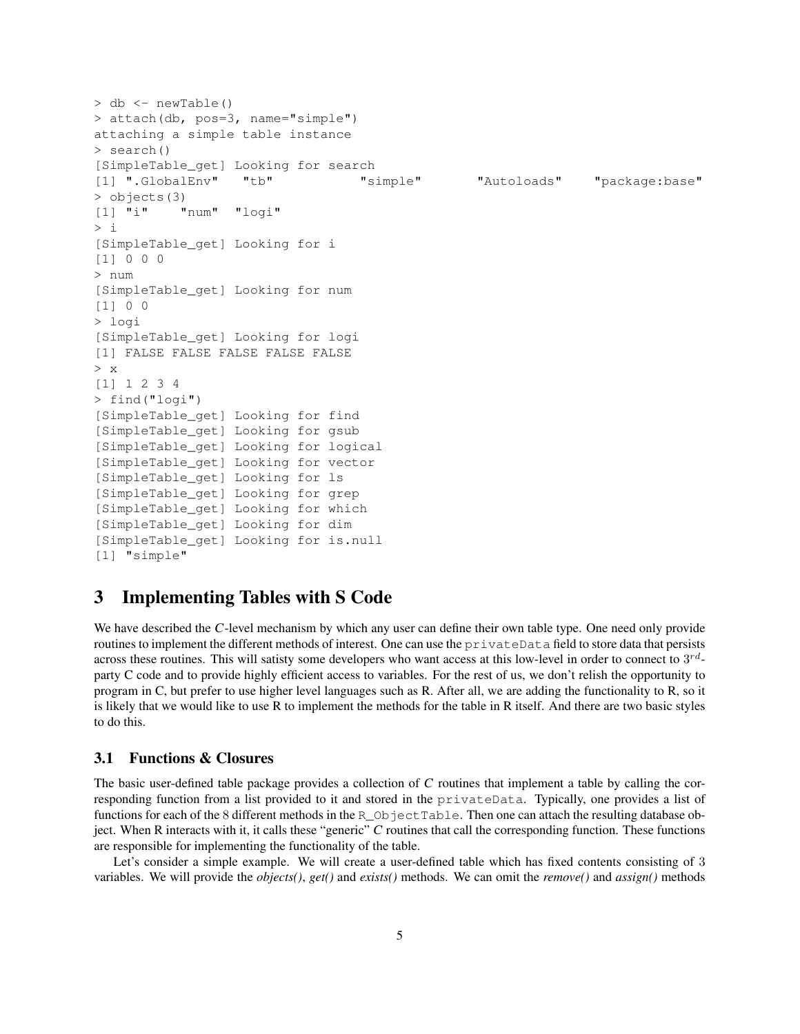```
> db <- newTable()
> attach(db, pos=3, name="simple")
attaching a simple table instance
> search()
[SimpleTable_get] Looking for search
[1] ".GlobalEnv" "tb" "simple" "Autoloads" "package:base"
> objects(3)
[1] "i" "num" "logi"
> i[SimpleTable_get] Looking for i
[1] 0 0 0
> num
[SimpleTable_get] Looking for num
[1] 0 0
> logi
[SimpleTable_get] Looking for logi
[1] FALSE FALSE FALSE FALSE FALSE
> x
[1] 1 2 3 4
> find("logi")
[SimpleTable_get] Looking for find
[SimpleTable_get] Looking for gsub
[SimpleTable_get] Looking for logical
[SimpleTable_get] Looking for vector
[SimpleTable_get] Looking for ls
[SimpleTable_get] Looking for grep
[SimpleTable_get] Looking for which
[SimpleTable_get] Looking for dim
[SimpleTable_get] Looking for is.null
[1] "simple"
```
### 3 Implementing Tables with S Code

We have described the C-level mechanism by which any user can define their own table type. One need only provide routines to implement the different methods of interest. One can use the privateData field to store data that persists across these routines. This will satisty some developers who want access at this low-level in order to connect to  $3^{rd}$ party C code and to provide highly efficient access to variables. For the rest of us, we don't relish the opportunity to program in C, but prefer to use higher level languages such as R. After all, we are adding the functionality to R, so it is likely that we would like to use R to implement the methods for the table in R itself. And there are two basic styles to do this.

### 3.1 Functions & Closures

The basic user-defined table package provides a collection of C routines that implement a table by calling the corresponding function from a list provided to it and stored in the privateData. Typically, one provides a list of functions for each of the 8 different methods in the R\_ObjectTable. Then one can attach the resulting database object. When R interacts with it, it calls these "generic" C routines that call the corresponding function. These functions are responsible for implementing the functionality of the table.

Let's consider a simple example. We will create a user-defined table which has fixed contents consisting of 3 variables. We will provide the *objects()*, *get()* and *exists()* methods. We can omit the *remove()* and *assign()* methods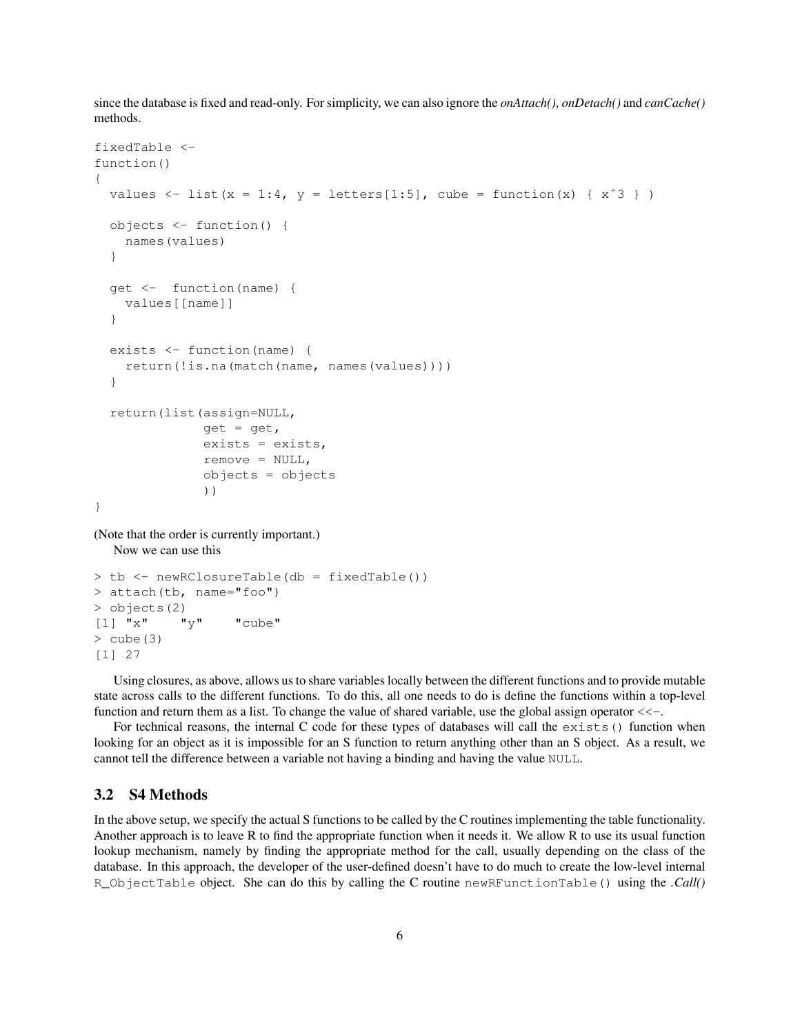since the database is fixed and read-only. For simplicity, we can also ignore the *onAttach()*, *onDetach()* and *canCache()* methods.

```
fixedTable <-
function()
{
  values \le list(x = 1:4, y = letters[1:5], cube = function(x) { x^3 })
  objects <- function() {
    names(values)
  }
  get <- function(name) {
    values[[name]]
  }
  exists <- function(name) {
    return(!is.na(match(name, names(values))))
  }
  return(list(assign=NULL,
               qet = qet,exists = exists,
               remove = NULL,objects = objects
               ))
}
(Note that the order is currently important.)
```
Now we can use this

```
> tb <- newRClosureTable(db = fixedTable())
> attach(tb, name="foo")
> objects(2)
[1] "x" "y" "cube"
> cube (3)
[1] 27
```
Using closures, as above, allows us to share variables locally between the different functions and to provide mutable state across calls to the different functions. To do this, all one needs to do is define the functions within a top-level function and return them as a list. To change the value of shared variable, use the global assign operator  $\lt\lt$ .

For technical reasons, the internal C code for these types of databases will call the exists() function when looking for an object as it is impossible for an S function to return anything other than an S object. As a result, we cannot tell the difference between a variable not having a binding and having the value NULL.

#### 3.2 S4 Methods

In the above setup, we specify the actual S functions to be called by the C routines implementing the table functionality. Another approach is to leave R to find the appropriate function when it needs it. We allow R to use its usual function lookup mechanism, namely by finding the appropriate method for the call, usually depending on the class of the database. In this approach, the developer of the user-defined doesn't have to do much to create the low-level internal R\_ObjectTable object. She can do this by calling the C routine newRFunctionTable() using the *.Call()*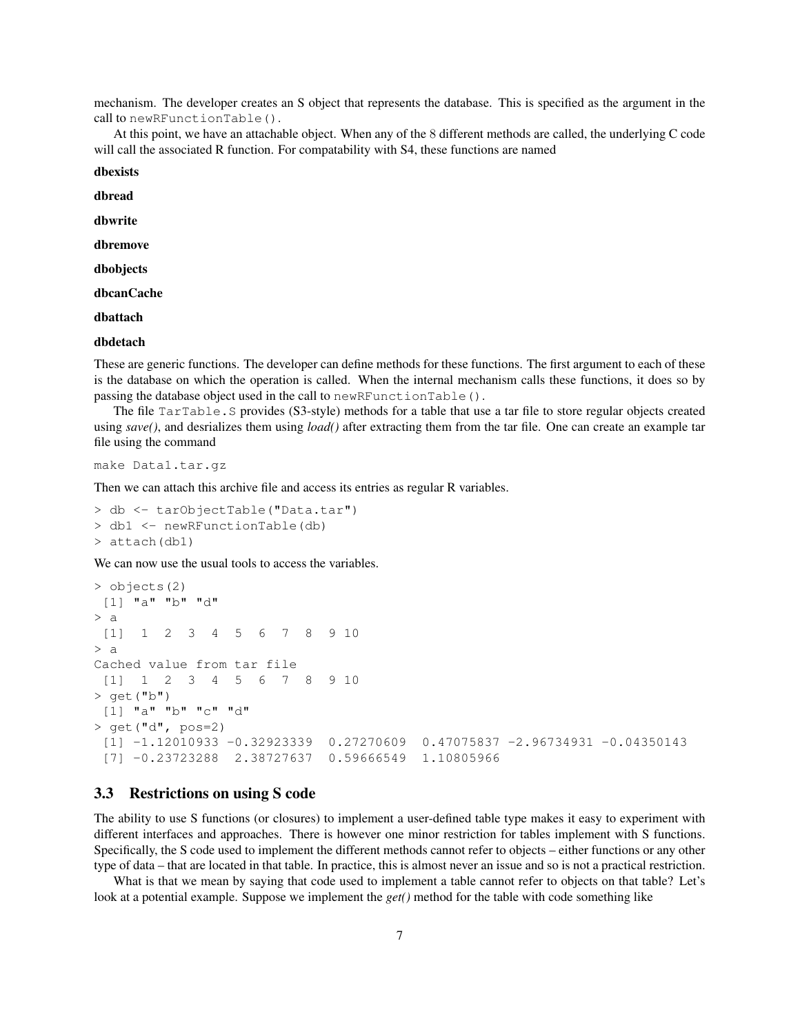mechanism. The developer creates an S object that represents the database. This is specified as the argument in the call to newRFunctionTable().

At this point, we have an attachable object. When any of the 8 different methods are called, the underlying C code will call the associated R function. For compatability with S4, these functions are named

dbexists

dbread

dbwrite

dbremove

dbobjects

dbcanCache

dbattach

#### dbdetach

These are generic functions. The developer can define methods for these functions. The first argument to each of these is the database on which the operation is called. When the internal mechanism calls these functions, it does so by passing the database object used in the call to newRFunctionTable().

The file TarTable.S provides (S3-style) methods for a table that use a tar file to store regular objects created using *save()*, and desrializes them using *load()* after extracting them from the tar file. One can create an example tar file using the command

make Data1.tar.gz

Then we can attach this archive file and access its entries as regular R variables.

> db <- tarObjectTable("Data.tar") > db1 <- newRFunctionTable(db) > attach(db1)

We can now use the usual tools to access the variables.

```
> objects(2)
[1] "a" "b" "d"
> a[1] 1 2 3 4 5 6 7 8 9 10
> a
Cached value from tar file
[1] 1 2 3 4 5 6 7 8 9 10
> qet("b")
[1] "a" "b" "c" "d"
> qet("d", pos=2)
 [1] -1.12010933 -0.32923339 0.27270609 0.47075837 -2.96734931 -0.04350143
 [7] -0.23723288 2.38727637 0.59666549 1.10805966
```
### 3.3 Restrictions on using S code

The ability to use S functions (or closures) to implement a user-defined table type makes it easy to experiment with different interfaces and approaches. There is however one minor restriction for tables implement with S functions. Specifically, the S code used to implement the different methods cannot refer to objects – either functions or any other type of data – that are located in that table. In practice, this is almost never an issue and so is not a practical restriction.

What is that we mean by saying that code used to implement a table cannot refer to objects on that table? Let's look at a potential example. Suppose we implement the *get()* method for the table with code something like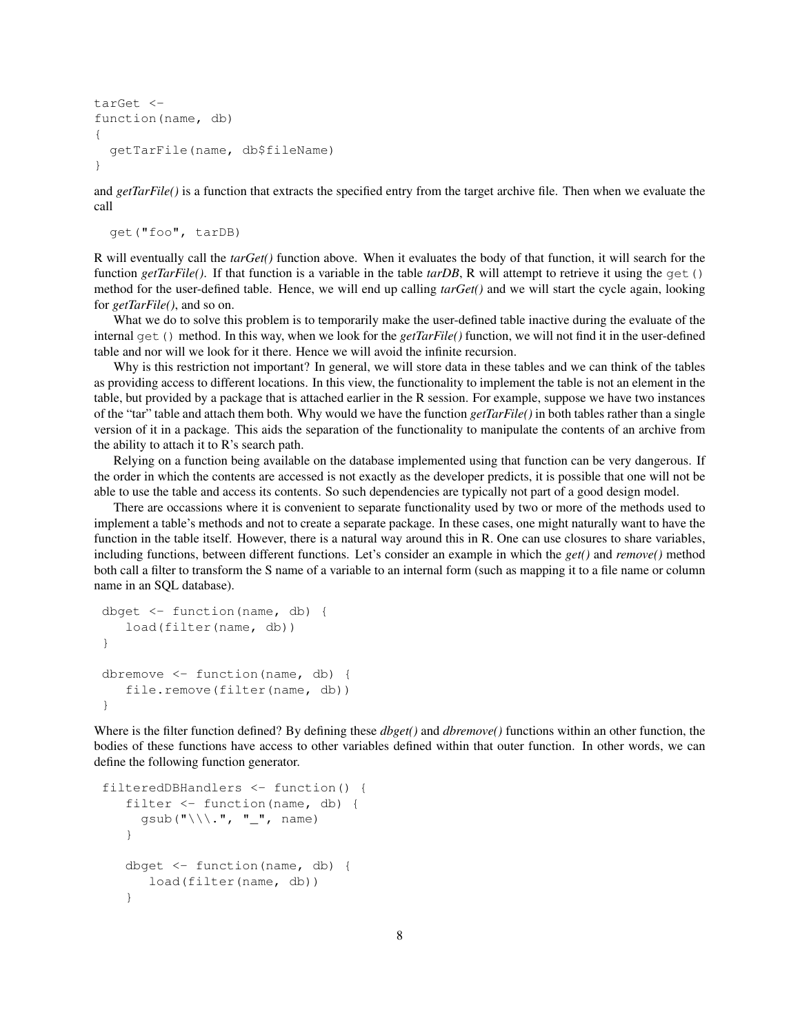```
tarGet <-
function(name, db)
{
  getTarFile(name, db$fileName)
}
```
and *getTarFile()* is a function that extracts the specified entry from the target archive file. Then when we evaluate the call

```
get("foo", tarDB)
```
R will eventually call the *tarGet()* function above. When it evaluates the body of that function, it will search for the function *getTarFile()*. If that function is a variable in the table *tarDB*, R will attempt to retrieve it using the get() method for the user-defined table. Hence, we will end up calling *tarGet()* and we will start the cycle again, looking for *getTarFile()*, and so on.

What we do to solve this problem is to temporarily make the user-defined table inactive during the evaluate of the internal get() method. In this way, when we look for the *getTarFile()* function, we will not find it in the user-defined table and nor will we look for it there. Hence we will avoid the infinite recursion.

Why is this restriction not important? In general, we will store data in these tables and we can think of the tables as providing access to different locations. In this view, the functionality to implement the table is not an element in the table, but provided by a package that is attached earlier in the R session. For example, suppose we have two instances of the "tar" table and attach them both. Why would we have the function *getTarFile()* in both tables rather than a single version of it in a package. This aids the separation of the functionality to manipulate the contents of an archive from the ability to attach it to R's search path.

Relying on a function being available on the database implemented using that function can be very dangerous. If the order in which the contents are accessed is not exactly as the developer predicts, it is possible that one will not be able to use the table and access its contents. So such dependencies are typically not part of a good design model.

There are occassions where it is convenient to separate functionality used by two or more of the methods used to implement a table's methods and not to create a separate package. In these cases, one might naturally want to have the function in the table itself. However, there is a natural way around this in R. One can use closures to share variables, including functions, between different functions. Let's consider an example in which the *get()* and *remove()* method both call a filter to transform the S name of a variable to an internal form (such as mapping it to a file name or column name in an SQL database).

```
dbget <- function(name, db) {
   load(filter(name, db))
}
dbremove \leq function (name, db) {
   file.remove(filter(name, db))
}
```
Where is the filter function defined? By defining these *dbget()* and *dbremove()* functions within an other function, the bodies of these functions have access to other variables defined within that outer function. In other words, we can define the following function generator.

```
filteredDBHandlers <- function() {
   filter <- function(name, db) {
     gsub("\\\.", "_", name)
   }
   dbget <- function(name, db) {
      load(filter(name, db))
   }
```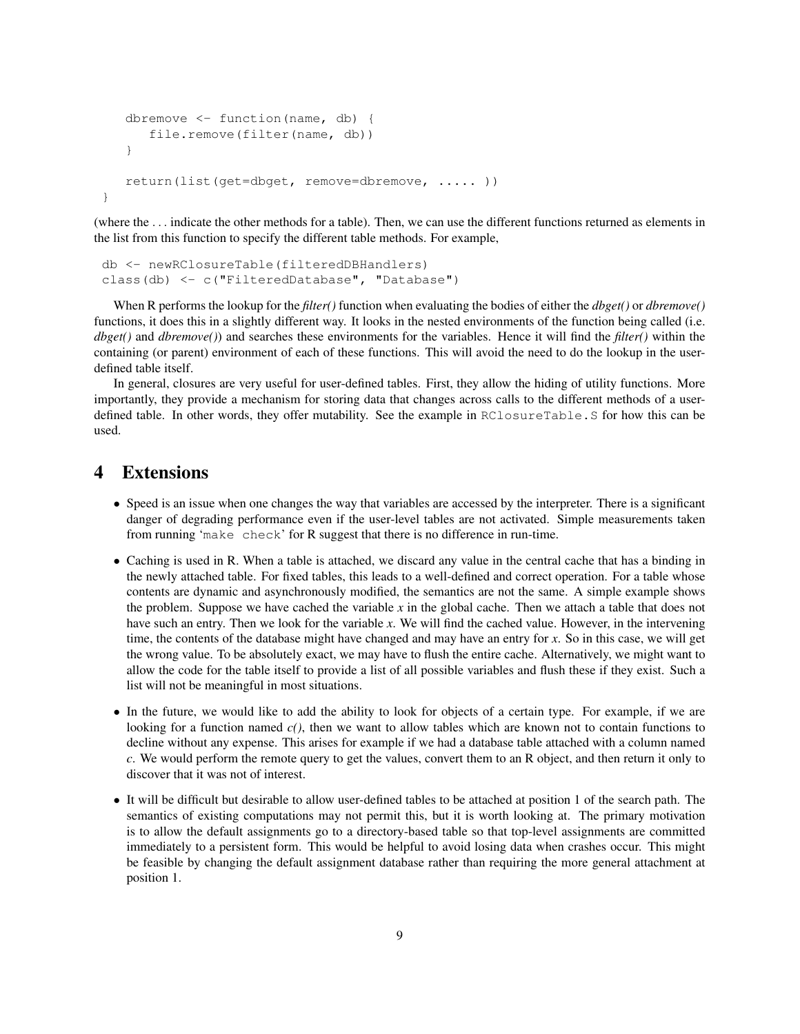```
dbremove <- function(name, db) {
      file.remove(filter(name, db))
   }
   return(list(get=dbget, remove=dbremove, ..... ))
}
```
(where the . . . indicate the other methods for a table). Then, we can use the different functions returned as elements in the list from this function to specify the different table methods. For example,

```
db <- newRClosureTable(filteredDBHandlers)
class(db) <- c("FilteredDatabase", "Database")
```
When R performs the lookup for the *filter()* function when evaluating the bodies of either the *dbget()* or *dbremove()* functions, it does this in a slightly different way. It looks in the nested environments of the function being called (i.e. *dbget()* and *dbremove()*) and searches these environments for the variables. Hence it will find the *filter()* within the containing (or parent) environment of each of these functions. This will avoid the need to do the lookup in the userdefined table itself.

In general, closures are very useful for user-defined tables. First, they allow the hiding of utility functions. More importantly, they provide a mechanism for storing data that changes across calls to the different methods of a userdefined table. In other words, they offer mutability. See the example in RClosureTable.S for how this can be used.

## 4 Extensions

- Speed is an issue when one changes the way that variables are accessed by the interpreter. There is a significant danger of degrading performance even if the user-level tables are not activated. Simple measurements taken from running 'make check' for R suggest that there is no difference in run-time.
- Caching is used in R. When a table is attached, we discard any value in the central cache that has a binding in the newly attached table. For fixed tables, this leads to a well-defined and correct operation. For a table whose contents are dynamic and asynchronously modified, the semantics are not the same. A simple example shows the problem. Suppose we have cached the variable *x* in the global cache. Then we attach a table that does not have such an entry. Then we look for the variable *x*. We will find the cached value. However, in the intervening time, the contents of the database might have changed and may have an entry for *x*. So in this case, we will get the wrong value. To be absolutely exact, we may have to flush the entire cache. Alternatively, we might want to allow the code for the table itself to provide a list of all possible variables and flush these if they exist. Such a list will not be meaningful in most situations.
- In the future, we would like to add the ability to look for objects of a certain type. For example, if we are looking for a function named  $c()$ , then we want to allow tables which are known not to contain functions to decline without any expense. This arises for example if we had a database table attached with a column named *c*. We would perform the remote query to get the values, convert them to an R object, and then return it only to discover that it was not of interest.
- It will be difficult but desirable to allow user-defined tables to be attached at position 1 of the search path. The semantics of existing computations may not permit this, but it is worth looking at. The primary motivation is to allow the default assignments go to a directory-based table so that top-level assignments are committed immediately to a persistent form. This would be helpful to avoid losing data when crashes occur. This might be feasible by changing the default assignment database rather than requiring the more general attachment at position 1.